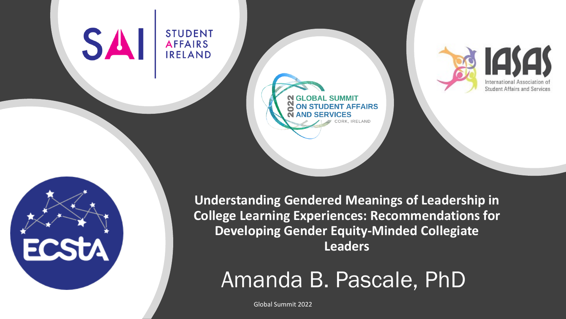# SAI

**ECSTA** 

**STUDENT AFFAIRS** 

**IRELAND** 





**N GLOBAL SUMMIT** 

**STUDENT AFFAIRS** 

Amanda B. Pascale, PhD

Global Summit 2022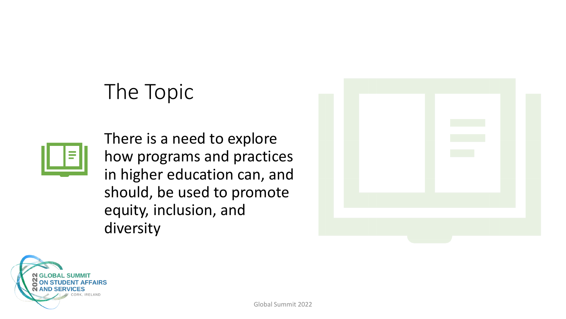### The Topic



There is a need to explore how programs and practices in higher education can, and should, be used to promote equity, inclusion, and diversity



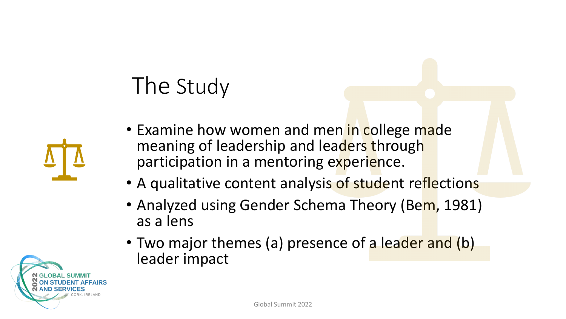## The Study



- Examine how women and men in college made meaning of leadership and leaders through participation in a mentoring experience.
- A qualitative content analysis of student reflections
- Analyzed using Gender Schema Theory (Bem, 1981) as a lens
- Two major themes (a) presence of a leader and (b) leader impact

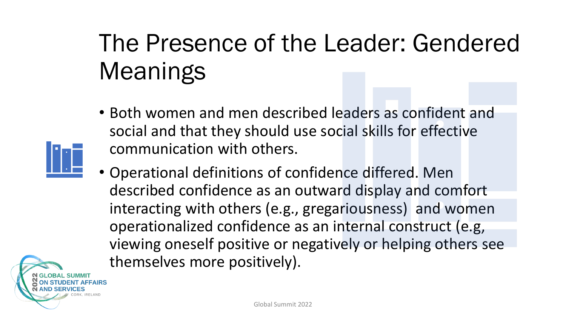## The Presence of the Leader: Gendered Meanings

- Both women and men described leaders as confident and social and that they should use social skills for effective communication with others.
- Operational definitions of confidence differed. Men described confidence as an outward display and comfort interacting with others (e.g., gregariousness) and women operationalized confidence as an internal construct (e.g, viewing oneself positive or negatively or helping others see themselves more positively).

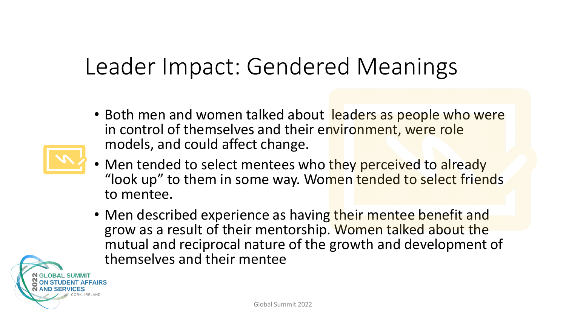### Leader Impact: Gendered Meanings

• Both men and women talked about leaders as people who were in control of themselves and their environment, were role models, and could affect change.



- Men tended to select mentees who they perceived to already "look up" to them in some way. Women tended to select friends to mentee.
- Men described experience as having their mentee benefit and grow as a result of their mentorship. Women talked about the mutual and reciprocal nature of the growth and development of themselves and their mentee

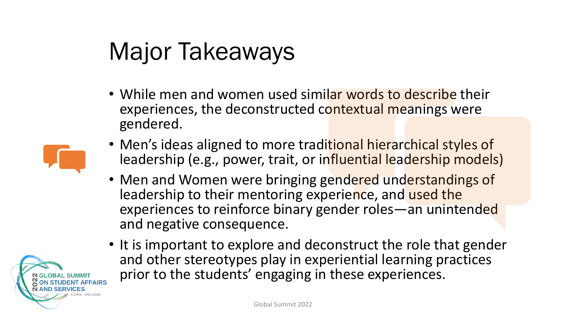## Major Takeaways

• While men and women used similar words to describe their experiences, the deconstructed contextual meanings were gendered.



- Men's ideas aligned to more traditional hierarchical styles of leadership (e.g., power, trait, or influential leadership models)
- Men and Women were bringing gendered understandings of leadership to their mentoring experience, and used the experiences to reinforce binary gender roles—an unintended and negative consequence.
- It is important to explore and deconstruct the role that gender and other stereotypes play in experiential learning practices prior to the students' engaging in these experiences.